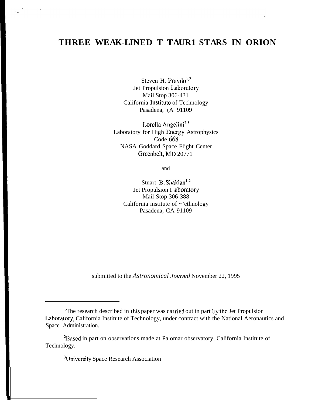# **THREE WEAK-LINED T TAUR1 STARS IN ORION**

Steven H. Pravdo $^{1,2}$ Jet Propulsion Laboratory Mail Stop 306-431 California Institute of Technology Pasadena, (A 91109

Lorella Angelini<sup>2,3</sup> Laboratory for High Energy Astrophysics Code 668 NASA Goddard Space Flight Center Greenbelt, MD 20771

and

Stuart B. Shaklan<sup>1,2</sup> Jet Propulsion I aboratory Mail Stop 306-388 California institute of ~'ethnology Pasadena, CA 91109

submitted to the *Astronomical Journal* November 22, 1995

3University Space Research Association

The research described in this paper was carried out in part by the Jet Propulsion 1,aboratory, California Institute of Technology, under contract with the National Aeronautics and Space Administration.

<sup>&</sup>lt;sup>2</sup>Based in part on observations made at Palomar observatory, California Institute of Technology.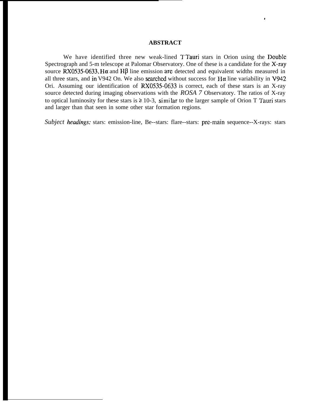#### **ABSTRACT**

We have identified three new weak-lined T Tauri stars in Orion using the Double Spectrograph and 5-m telescope at Palomar Observatory. One of these is a candidate for the  $X$ -ray source RX0535-0633. H $\alpha$  and H $\beta$  line emission are detected and equivalent widths measured in all three stars, and in V942 On. We also searched without success for  $H\alpha$  line variability in V942 Ori. Assuming our identification of RX0535-0633 is correct, each of these stars is an X-ray source detected during imaging observations with the *ROSA 7* Observatory. The ratios of X-ray to optical luminosity for these stars is  $\ge 10$ -3, similar to the larger sample of Orion T Tauri stars and larger than that seen in some other star formation regions.

*Subject headings:* stars: emission-line, Be--stars: flare--stars: pre-main sequence--X-rays: stars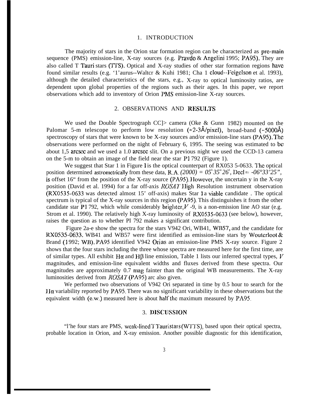#### 1. INTRODUCTION

The majority of stars in the Orion star formation region can be characterized as pre-main sequence (PMS) emission-line, X-ray sources (e.g. Pravdo & Angelini 1995; PA95). They are also called T Tauri stars (TTS). Optical and X-ray studies of other star formation regions have found similar results (e.g. '1'aurus--Waltcr & Kuhi 1981; Cha 1 cloud--Feigclson et al. 1993), although the detailed characteristics of the stars, e.g., X-ray to optical luminosity ratios, are dependent upon global properties of the regions such as their ages. In this paper, we report observations which add to inventory of Orion PMS emission-line X-ray sources.

## 2. OBSERVATIONS AND RESULTS

We used the Double Spectrograph CC]> camera (Oke & Gunn 1982) mounted on the Palomar 5-m telescope to perform low resolution ( $\approx$ 2-3Å/pixel), broad-band (~5000Å) spectroscopy of stars that were known to be X-ray sources and/or emission-line stars (PA95). The observations were performed on the night of February 6, 1995. The seeing was estimated to bc about 1,5 arcscc and we used a 1.0 arcsec slit. On a previous night we used the CCD-13 camera on the 5-m to obtain an image of the field near the star PI 792 (Figure 1).

We suggest that Star 1 in Figure 1 is the optical counterpart of RX053 5-0633. The optical position determined astrometrically from these data, R.A.  $(2000) = 05<sup>h</sup>35<sup>m</sup>26<sup>s</sup>$ , Decl =  $-06°33'25$ ", is offset 16<sup> $\cdot$ </sup> from the position of the X-ray source (PA95). However, the uncertain y in the X-ray position (David et al. 1994) for a far off-axis ROSAT High Resolution instrument observation (RX0535-0633 was detected almost 15' off-axis) makes Star 1 a viable candidate . The optical spectrum is typical of the X-ray sources in this region (PA95). This distinguishes it from the other candidate star P1 792, which while considerably brighter,  $V$  -9, is a non-emission line AO star (e.g. Strom et al. 1990). The relatively high X-ray luminosity of RX0535-0633 (see below), however, raises the question as to whether PI 792 makes a significant contribution.

Figure 2a-e show the spectra for the stars V942 Ori, WB41, WB57, and the candidate for RX0535-0633. WB41 and WB57 were first identified as emission-line stars by Woutcrloot & Brand (1992; WB). PA95 identified V942 Ori as an emission-line PMS X-ray source. Figure 2 shows that the four stars including the three whose spectra are measured here for the first time, are of similar types. All exhibit H $\alpha$  and H $\beta$  line emission, Table 1 lists our inferred spectral types, V magnitudes, and emission-line equivalent widths and fluxes derived from these spectra. Our magnitudes are approximately 0.7 mag fainter than the original WB measurements. The X-ray luminosities derived from  $ROSAT$  (PA95) arc also given.

We performed two observations of V942 Ori separated in time by 0.5 hour to search for the  $\Pi\alpha$  variability reported by PA95. There was no significant variability in these observations but the equivalent width (e.w.) measured here is about half the maximum measured by PA95.

#### 3. DISCUSSION

"l'he four stars are PMS, weak-lined T Tauri stars (WTTS), based upon their optical spectra, probable location in Orion, and X-ray emission. Another possible diagnostic for this identification,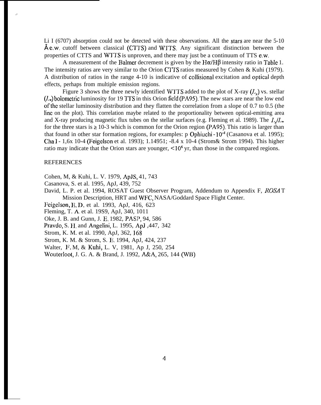Li I (6707) absorption could not be detected with these observations. All the stars are near the 5-10  $\AA$  e.w. cutoff between classical (CTTS) and WTTS. Any significant distinction between the properties of CTTS and WTTS is unproven, and there may just be a continuum of TTS e.w.

A measurement of the Balmer decrement is given by the  $H\alpha/H\beta$  intensity ratio in Table 1. The intensity ratios are very similar to the Orion CTTS ratios measured by Cohen & Kuhi (1979). A distribution of ratios in the range 4-10 is indicative of collisional excitation and opticul depth effects, perhaps from multiple emission regions.

Figure 3 shows the three newly identified WTTS added to the plot of X-ray  $(L_x)$  vs. stellar  $(L<sub>1</sub>)$  bolometric luminosity for 19 TTS in this Orion field (PA95). The new stars are near the low end ofthc stellar luminosity distribution and they flatten the correlation from a slope of 0.7 to 0.5 (the line on the plot). This correlation maybe related to the proportionality between optical-emitting area and X-ray producing magnetic flux tubes on the stellar surfaces (e.g. Fleming et al. 1989). The  $L_x/L_x$ for the three stars is  $\ge 10$ -3 which is common for the Orion region (PA95). This ratio is larger than that found in other star formation regions, for examples: p Ophiuchi -  $10^{-4}$  (Casanova et al. 1995); Cha I - 1,6x 10-4 (Feigelson et al. 1993); 1.14951; -8.4 x 10-4 (Strom& Strom 1994). This higher ratio may indicate that the Orion stars are younger, < 106 yr, than those in the compared regions.

#### REFERENCES

. .

Cohen, M, & Kuhi, L. V. 1979, ApJS, 41, 743

Casanova, S. et al. 1995, ApJ, 439, 752

David, L. P. et al. 1994, ROSAT Guest Observer Program, Addendum to Appendix F, ROSA T Mission Description, HRT and WFC, NASA/Goddard Space Flight Center.

Feigelson, E.D. et al. 1993, ApJ, 416, 623

Fleming, T. A, et al. 19S9, ApJ, 340, 1011

Oke, J. B. and Gunn, J. E. 1982, PASP, 94, 586

Pravdo, S. 11. and Angelini, L. 1995, ApJ ,447, 342

Strom, K. M. et al. 1990, ApJ, 362, 168

Strom, K. M. & Strom, S. E. 1994, ApJ, 424, 237

Walter, F. M, & Kuhi, L. V, 1981, Ap J, 250, 254

Wouterloot, J. G. A. & Brand, J. 1992, A&A, 265, 144 (WB)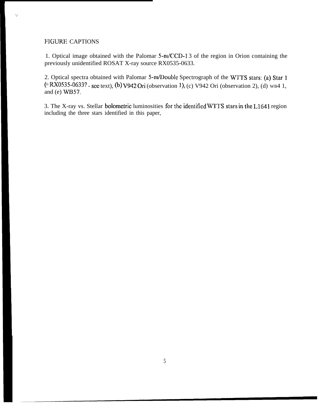## FIGURE CAPTIONS

.,.

1. Optical image obtained with the Palomar  $5-m/CCD-13$  of the region in Orion containing the previously unidentified ROSAT X-ray source RX0535-0633.

2. Optical spectra obtained with Palomar 5-m/Double Spectrograph of the WTTS stars: (a) Star 1 (=RX0535-0633? - see text), (b) V942 Ori (observation 1), (c) V942 Ori (observation 2), (d) WB4 1, and (e) WB57.

3. The X-ray vs. Stellar bolometric luminosities for the identified WTTS stars in the L1641 region including the three stars identified in this paper,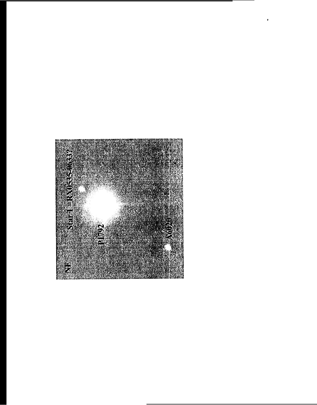

×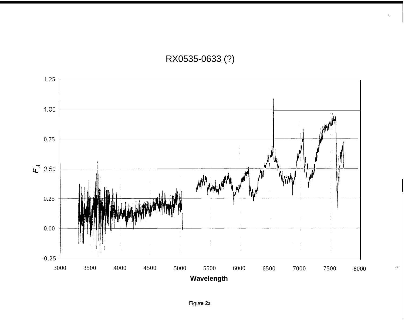RX0535-0633(?)

 $\epsilon_{\rm{in}}$ 

 $\overline{\mathfrak{c}}$   $\overline{\mathfrak{c}}$ 

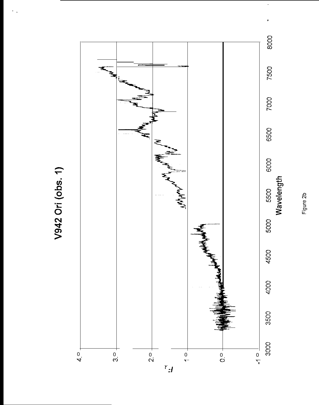# Figure 2b



V942 Ori (obs. 1)

 $\overline{a}$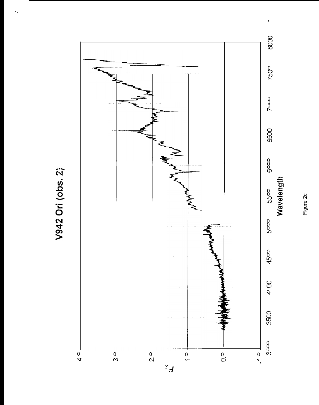$\pmb{\mathsf{s}}$ 



V942 Ori (obs. 2)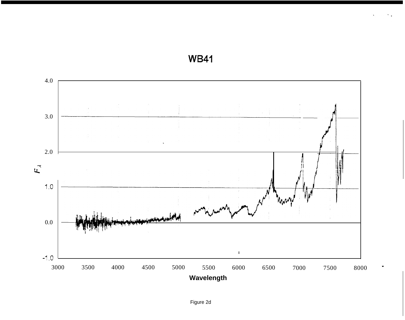**WB41** 



Figure 2d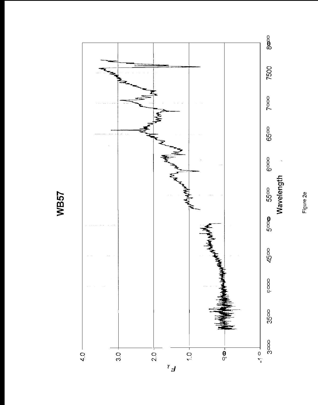Figure 2e



**WB57**